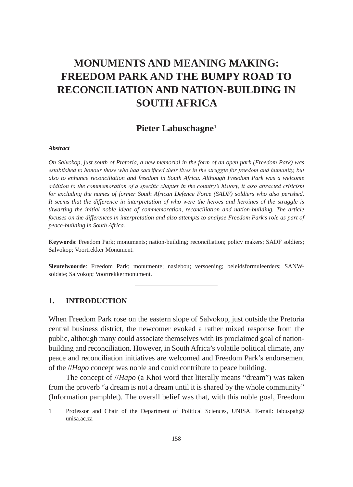# **MONUMENTS AND MEANING MAKING: FREEDOM PARK AND THE BUMPY ROAD TO RECONCILIATION AND NATION-BUILDING IN SOUTH AFRICA**

## **Pieter Labuschagne1**

#### *Abstract*

*On Salvokop, just south of Pretoria, a new memorial in the form of an open park (Freedom Park) was established to honour those who had sacrificed their lives in the struggle for freedom and humanity, but also to enhance reconciliation and freedom in South Africa. Although Freedom Park was a welcome addition to the commemoration of a specific chapter in the country's history, it also attracted criticism for excluding the names of former South African Defence Force (SADF) soldiers who also perished. It seems that the difference in interpretation of who were the heroes and heroines of the struggle is thwarting the initial noble ideas of commemoration, reconciliation and nation-building. The article focuses on the differences in interpretation and also attempts to analyse Freedom Park's role as part of peace-building in South Africa.*

**Keywords**: Freedom Park; monuments; nation-building; reconciliation; policy makers; SADF soldiers; Salvokop; Voortrekker Monument.

**Sleutelwoorde**: Freedom Park; monumente; nasiebou; versoening; beleidsformuleerders; SANWsoldate; Salvokop; Voortrekkermonument.

### **1. INTRODUCTION**

When Freedom Park rose on the eastern slope of Salvokop, just outside the Pretoria central business district, the newcomer evoked a rather mixed response from the public, although many could associate themselves with its proclaimed goal of nationbuilding and reconciliation. However, in South Africa's volatile political climate, any peace and reconciliation initiatives are welcomed and Freedom Park's endorsement of the //*Hapo* concept was noble and could contribute to peace building.

The concept of //*Hapo* (a Khoi word that literally means "dream") was taken from the proverb "a dream is not a dream until it is shared by the whole community" (Information pamphlet). The overall belief was that, with this noble goal, Freedom

<sup>1</sup> Professor and Chair of the Department of Political Sciences, UNISA. E-mail: labuspah@ unisa.ac.za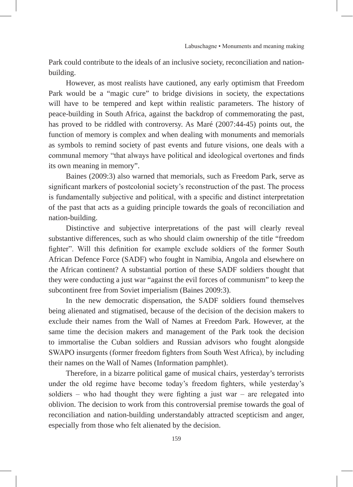Park could contribute to the ideals of an inclusive society, reconciliation and nationbuilding.

However, as most realists have cautioned, any early optimism that Freedom Park would be a "magic cure" to bridge divisions in society, the expectations will have to be tempered and kept within realistic parameters. The history of peace-building in South Africa, against the backdrop of commemorating the past, has proved to be riddled with controversy. As Maré (2007:44-45) points out, the function of memory is complex and when dealing with monuments and memorials as symbols to remind society of past events and future visions, one deals with a communal memory "that always have political and ideological overtones and finds its own meaning in memory".

Baines (2009:3) also warned that memorials, such as Freedom Park, serve as significant markers of postcolonial society's reconstruction of the past. The process is fundamentally subjective and political, with a specific and distinct interpretation of the past that acts as a guiding principle towards the goals of reconciliation and nation-building.

Distinctive and subjective interpretations of the past will clearly reveal substantive differences, such as who should claim ownership of the title "freedom fighter". Will this definition for example exclude soldiers of the former South African Defence Force (SADF) who fought in Namibia, Angola and elsewhere on the African continent? A substantial portion of these SADF soldiers thought that they were conducting a just war "against the evil forces of communism" to keep the subcontinent free from Soviet imperialism (Baines 2009:3).

In the new democratic dispensation, the SADF soldiers found themselves being alienated and stigmatised, because of the decision of the decision makers to exclude their names from the Wall of Names at Freedom Park. However, at the same time the decision makers and management of the Park took the decision to immortalise the Cuban soldiers and Russian advisors who fought alongside SWAPO insurgents (former freedom fighters from South West Africa), by including their names on the Wall of Names (Information pamphlet).

Therefore, in a bizarre political game of musical chairs, yesterday's terrorists under the old regime have become today's freedom fighters, while yesterday's soldiers – who had thought they were fighting a just war – are relegated into oblivion. The decision to work from this controversial premise towards the goal of reconciliation and nation-building understandably attracted scepticism and anger, especially from those who felt alienated by the decision.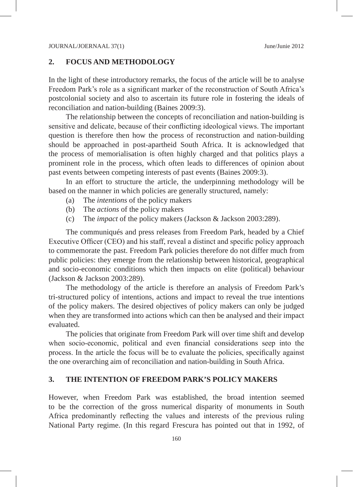#### **2. FOCUS AND METHODOLOGY**

In the light of these introductory remarks, the focus of the article will be to analyse Freedom Park's role as a significant marker of the reconstruction of South Africa's postcolonial society and also to ascertain its future role in fostering the ideals of reconciliation and nation-building (Baines 2009:3).

The relationship between the concepts of reconciliation and nation-building is sensitive and delicate, because of their conflicting ideological views. The important question is therefore then how the process of reconstruction and nation-building should be approached in post-apartheid South Africa. It is acknowledged that the process of memorialisation is often highly charged and that politics plays a prominent role in the process, which often leads to differences of opinion about past events between competing interests of past events (Baines 2009:3).

In an effort to structure the article, the underpinning methodology will be based on the manner in which policies are generally structured, namely:

- (a) The *intentions* of the policy makers
- (b) The *actions* of the policy makers
- (c) The *impact* of the policy makers (Jackson & Jackson 2003:289).

The communiqués and press releases from Freedom Park, headed by a Chief Executive Officer (CEO) and his staff, reveal a distinct and specific policy approach to commemorate the past. Freedom Park policies therefore do not differ much from public policies: they emerge from the relationship between historical, geographical and socio-economic conditions which then impacts on elite (political) behaviour (Jackson & Jackson 2003:289).

The methodology of the article is therefore an analysis of Freedom Park's tri-structured policy of intentions, actions and impact to reveal the true intentions of the policy makers. The desired objectives of policy makers can only be judged when they are transformed into actions which can then be analysed and their impact evaluated.

The policies that originate from Freedom Park will over time shift and develop when socio-economic, political and even financial considerations seep into the process. In the article the focus will be to evaluate the policies, specifically against the one overarching aim of reconciliation and nation-building in South Africa.

## **3. THE INTENTION OF FREEDOM PARK'S POLICY MAKERS**

However, when Freedom Park was established, the broad intention seemed to be the correction of the gross numerical disparity of monuments in South Africa predominantly reflecting the values and interests of the previous ruling National Party regime. (In this regard Frescura has pointed out that in 1992, of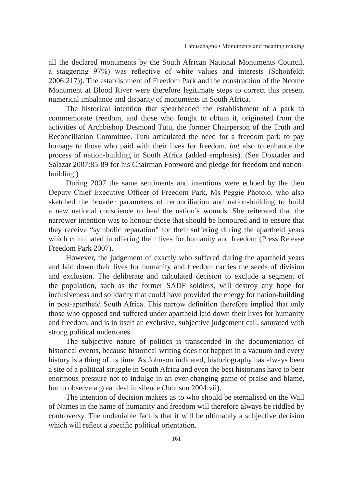all the declared monuments by the South African National Monuments Council, a staggering 97%) was reflective of white values and interests (Schonfeldt 2006:217)). The establishment of Freedom Park and the construction of the Ncome Monument at Blood River were therefore legitimate steps to correct this present numerical imbalance and disparity of monuments in South Africa.

The historical intention that spearheaded the establishment of a park to commemorate freedom, and those who fought to obtain it, originated from the activities of Archbishop Desmond Tutu, the former Chairperson of the Truth and Reconciliation Committee. Tutu articulated the need for a freedom park to pay homage to those who paid with their lives for freedom, *but* also to enhance the process of nation-building in South Africa (added emphasis). (See Doxtader and Salazar 2007:85-89 for his Chairman Foreword and pledge for freedom and nationbuilding.)

During 2007 the same sentiments and intentions were echoed by the then Deputy Chief Executive Officer of Freedom Park, Ms Peggie Photolo, who also sketched the broader parameters of reconciliation and nation-building to build a new national conscience to heal the nation's wounds. She reiterated that the narrower intention was to honour those that should be honoured and to ensure that they receive "symbolic reparation" for their suffering during the apartheid years which culminated in offering their lives for humanity and freedom (Press Release Freedom Park 2007).

However, the judgement of exactly who suffered during the apartheid years and laid down their lives for humanity and freedom carries the seeds of division and exclusion. The deliberate and calculated decision to exclude a segment of the population, such as the former SADF soldiers, will destroy any hope for inclusiveness and solidarity that could have provided the energy for nation-building in post-apartheid South Africa. This narrow definition therefore implied that only those who opposed and suffered under apartheid laid down their lives for humanity and freedom, and is in itself an exclusive, subjective judgement call, saturated with strong political undertones.

The subjective nature of politics is transcended in the documentation of historical events, because historical writing does not happen in a vacuum and every history is a thing of its time. As Johnson indicated, historiography has always been a site of a political struggle in South Africa and even the best historians have to bear enormous pressure not to indulge in an ever-changing game of praise and blame, but to observe a great deal in silence (Johnson 2004:vii).

The intention of decision makers as to who should be eternalised on the Wall of Names in the name of humanity and freedom will therefore always be riddled by controversy. The undeniable fact is that it will be ultimately a subjective decision which will reflect a specific political orientation.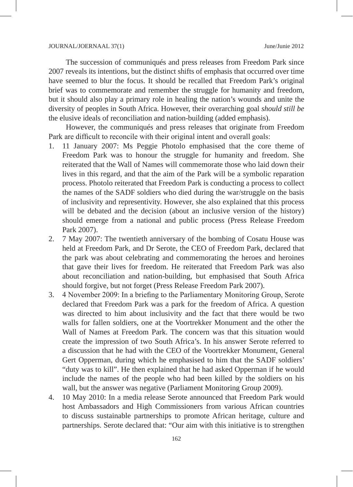The succession of communiqués and press releases from Freedom Park since 2007 reveals its intentions, but the distinct shifts of emphasis that occurred over time have seemed to blur the focus. It should be recalled that Freedom Park's original brief was to commemorate and remember the struggle for humanity and freedom, but it should also play a primary role in healing the nation's wounds and unite the diversity of peoples in South Africa. However, their overarching goal *should still be* the elusive ideals of reconciliation and nation-building (added emphasis).

However, the communiqués and press releases that originate from Freedom Park are difficult to reconcile with their original intent and overall goals:

- 1. 11 January 2007: Ms Peggie Photolo emphasised that the core theme of Freedom Park was to honour the struggle for humanity and freedom. She reiterated that the Wall of Names will commemorate those who laid down their lives in this regard, and that the aim of the Park will be a symbolic reparation process. Photolo reiterated that Freedom Park is conducting a process to collect the names of the SADF soldiers who died during the war/struggle on the basis of inclusivity and representivity. However, she also explained that this process will be debated and the decision (about an inclusive version of the history) should emerge from a national and public process (Press Release Freedom Park 2007).
- 2. 7 May 2007: The twentieth anniversary of the bombing of Cosatu House was held at Freedom Park, and Dr Serote, the CEO of Freedom Park, declared that the park was about celebrating and commemorating the heroes and heroines that gave their lives for freedom. He reiterated that Freedom Park was also about reconciliation and nation-building, but emphasised that South Africa should forgive, but not forget (Press Release Freedom Park 2007).
- 3. 4 November 2009: In a briefing to the Parliamentary Monitoring Group, Serote declared that Freedom Park was a park for the freedom of Africa. A question was directed to him about inclusivity and the fact that there would be two walls for fallen soldiers, one at the Voortrekker Monument and the other the Wall of Names at Freedom Park. The concern was that this situation would create the impression of two South Africa's. In his answer Serote referred to a discussion that he had with the CEO of the Voortrekker Monument, General Gert Opperman, during which he emphasised to him that the SADF soldiers' "duty was to kill". He then explained that he had asked Opperman if he would include the names of the people who had been killed by the soldiers on his wall, but the answer was negative (Parliament Monitoring Group 2009).
- 4. 10 May 2010: In a media release Serote announced that Freedom Park would host Ambassadors and High Commissioners from various African countries to discuss sustainable partnerships to promote African heritage, culture and partnerships. Serote declared that: "Our aim with this initiative is to strengthen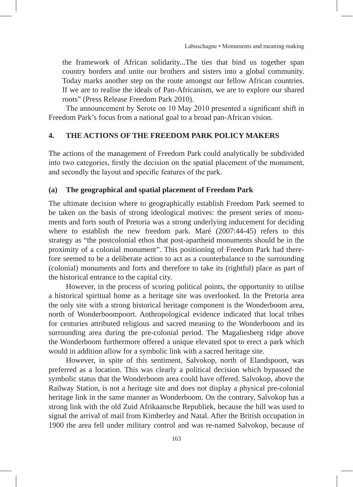the framework of African solidarity...The ties that bind us together span country borders and unite our brothers and sisters into a global community. Today marks another step on the route amongst our fellow African countries. If we are to realise the ideals of Pan-Africanism, we are to explore our shared roots" (Press Release Freedom Park 2010).

The announcement by Serote on 10 May 2010 presented a significant shift in Freedom Park's focus from a national goal to a broad pan-African vision.

## **4. THE ACTIONS OF THE FREEDOM PARK POLICY MAKERS**

The actions of the management of Freedom Park could analytically be subdivided into two categories, firstly the decision on the spatial placement of the monument, and secondly the layout and specific features of the park.

## **(a) The geographical and spatial placement of Freedom Park**

The ultimate decision where to geographically establish Freedom Park seemed to be taken on the basis of strong ideological motives: the present series of monuments and forts south of Pretoria was a strong underlying inducement for deciding where to establish the new freedom park. Maré (2007:44-45) refers to this strategy as "the postcolonial ethos that post-apartheid monuments should be in the proximity of a colonial monument". This positioning of Freedom Park had therefore seemed to be a deliberate action to act as a counterbalance to the surrounding (colonial) monuments and forts and therefore to take its (rightful) place as part of the historical entrance to the capital city.

However, in the process of scoring political points, the opportunity to utilise a historical spiritual home as a heritage site was overlooked. In the Pretoria area the only site with a strong historical heritage component is the Wonderboom area, north of Wonderboompoort. Anthropological evidence indicated that local tribes for centuries attributed religious and sacred meaning to the Wonderboom and its surrounding area during the pre-colonial period. The Magaliesberg ridge above the Wonderboom furthermore offered a unique elevated spot to erect a park which would in addition allow for a symbolic link with a sacred heritage site.

However, in spite of this sentiment, Salvokop, north of Elandspoort, was preferred as a location. This was clearly a political decision which bypassed the symbolic status that the Wonderboom area could have offered. Salvokop, above the Railway Station, is not a heritage site and does not display a physical pre-colonial heritage link in the same manner as Wonderboom. On the contrary, Salvokop has a strong link with the old Zuid Afrikaansche Republiek, because the hill was used to signal the arrival of mail from Kimberley and Natal. After the British occupation in 1900 the area fell under military control and was re-named Salvokop, because of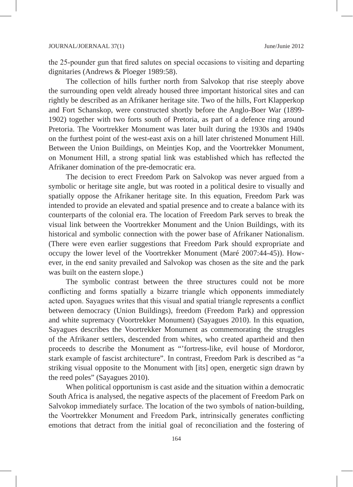the 25-pounder gun that fired salutes on special occasions to visiting and departing dignitaries (Andrews & Ploeger 1989:58).

The collection of hills further north from Salvokop that rise steeply above the surrounding open veldt already housed three important historical sites and can rightly be described as an Afrikaner heritage site. Two of the hills, Fort Klapperkop and Fort Schanskop, were constructed shortly before the Anglo-Boer War (1899- 1902) together with two forts south of Pretoria, as part of a defence ring around Pretoria. The Voortrekker Monument was later built during the 1930s and 1940s on the furthest point of the west-east axis on a hill later christened Monument Hill. Between the Union Buildings, on Meintjes Kop, and the Voortrekker Monument, on Monument Hill, a strong spatial link was established which has reflected the Afrikaner domination of the pre-democratic era.

The decision to erect Freedom Park on Salvokop was never argued from a symbolic or heritage site angle, but was rooted in a political desire to visually and spatially oppose the Afrikaner heritage site. In this equation, Freedom Park was intended to provide an elevated and spatial presence and to create a balance with its counterparts of the colonial era. The location of Freedom Park serves to break the visual link between the Voortrekker Monument and the Union Buildings, with its historical and symbolic connection with the power base of Afrikaner Nationalism. (There were even earlier suggestions that Freedom Park should expropriate and occupy the lower level of the Voortrekker Monument (Maré 2007:44-45)). However, in the end sanity prevailed and Salvokop was chosen as the site and the park was built on the eastern slope.)

The symbolic contrast between the three structures could not be more conflicting and forms spatially a bizarre triangle which opponents immediately acted upon. Sayagues writes that this visual and spatial triangle represents a conflict between democracy (Union Buildings), freedom (Freedom Park) and oppression and white supremacy (Voortrekker Monument) (Sayagues 2010). In this equation, Sayagues describes the Voortrekker Monument as commemorating the struggles of the Afrikaner settlers, descended from whites, who created apartheid and then proceeds to describe the Monument as "'fortress-like, evil house of Mordoror, stark example of fascist architecture". In contrast, Freedom Park is described as "a striking visual opposite to the Monument with [its] open, energetic sign drawn by the reed poles" (Sayagues 2010).

When political opportunism is cast aside and the situation within a democratic South Africa is analysed, the negative aspects of the placement of Freedom Park on Salvokop immediately surface. The location of the two symbols of nation-building, the Voortrekker Monument and Freedom Park, intrinsically generates conflicting emotions that detract from the initial goal of reconciliation and the fostering of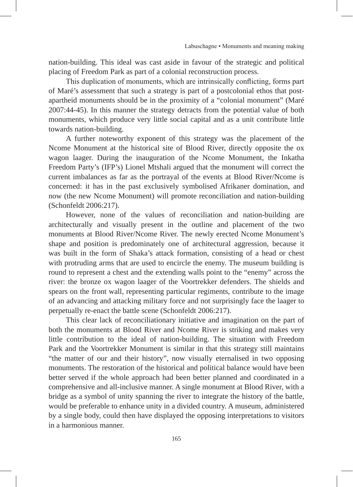nation-building. This ideal was cast aside in favour of the strategic and political placing of Freedom Park as part of a colonial reconstruction process.

This duplication of monuments, which are intrinsically conflicting, forms part of Maré's assessment that such a strategy is part of a postcolonial ethos that postapartheid monuments should be in the proximity of a "colonial monument" (Maré 2007:44-45). In this manner the strategy detracts from the potential value of both monuments, which produce very little social capital and as a unit contribute little towards nation-building.

A further noteworthy exponent of this strategy was the placement of the Ncome Monument at the historical site of Blood River, directly opposite the ox wagon laager. During the inauguration of the Ncome Monument, the Inkatha Freedom Party's (IFP's) Lionel Mtshali argued that the monument will correct the current imbalances as far as the portrayal of the events at Blood River/Ncome is concerned: it has in the past exclusively symbolised Afrikaner domination, and now (the new Ncome Monument) will promote reconciliation and nation-building (Schonfeldt 2006:217).

However, none of the values of reconciliation and nation-building are architecturally and visually present in the outline and placement of the two monuments at Blood River/Ncome River. The newly erected Ncome Monument's shape and position is predominately one of architectural aggression, because it was built in the form of Shaka's attack formation, consisting of a head or chest with protruding arms that are used to encircle the enemy. The museum building is round to represent a chest and the extending walls point to the "enemy" across the river: the bronze ox wagon laager of the Voortrekker defenders. The shields and spears on the front wall, representing particular regiments, contribute to the image of an advancing and attacking military force and not surprisingly face the laager to perpetually re-enact the battle scene (Schonfeldt 2006:217).

This clear lack of reconciliationary initiative and imagination on the part of both the monuments at Blood River and Ncome River is striking and makes very little contribution to the ideal of nation-building. The situation with Freedom Park and the Voortrekker Monument is similar in that this strategy still maintains "the matter of our and their history", now visually eternalised in two opposing monuments. The restoration of the historical and political balance would have been better served if the whole approach had been better planned and coordinated in a comprehensive and all-inclusive manner. A single monument at Blood River, with a bridge as a symbol of unity spanning the river to integrate the history of the battle, would be preferable to enhance unity in a divided country. A museum, administered by a single body, could then have displayed the opposing interpretations to visitors in a harmonious manner.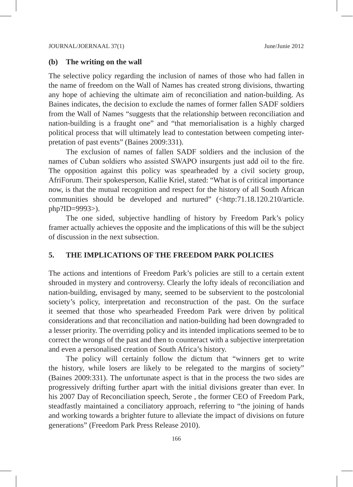#### **(b) The writing on the wall**

The selective policy regarding the inclusion of names of those who had fallen in the name of freedom on the Wall of Names has created strong divisions, thwarting any hope of achieving the ultimate aim of reconciliation and nation-building. As Baines indicates, the decision to exclude the names of former fallen SADF soldiers from the Wall of Names "suggests that the relationship between reconciliation and nation-building is a fraught one" and "that memorialisation is a highly charged political process that will ultimately lead to contestation between competing interpretation of past events" (Baines 2009:331).

The exclusion of names of fallen SADF soldiers and the inclusion of the names of Cuban soldiers who assisted SWAPO insurgents just add oil to the fire. The opposition against this policy was spearheaded by a civil society group, AfriForum. Their spokesperson, Kallie Kriel, stated: "What is of critical importance now, is that the mutual recognition and respect for the history of all South African communities should be developed and nurtured" (<http:71.18.120.210/article. php?ID=9993>).

The one sided, subjective handling of history by Freedom Park's policy framer actually achieves the opposite and the implications of this will be the subject of discussion in the next subsection.

#### **5. THE IMPLICATIONS OF THE FREEDOM PARK POLICIES**

The actions and intentions of Freedom Park's policies are still to a certain extent shrouded in mystery and controversy. Clearly the lofty ideals of reconciliation and nation-building, envisaged by many, seemed to be subservient to the postcolonial society's policy, interpretation and reconstruction of the past. On the surface it seemed that those who spearheaded Freedom Park were driven by political considerations and that reconciliation and nation-building had been downgraded to a lesser priority. The overriding policy and its intended implications seemed to be to correct the wrongs of the past and then to counteract with a subjective interpretation and even a personalised creation of South Africa's history.

The policy will certainly follow the dictum that "winners get to write the history, while losers are likely to be relegated to the margins of society" (Baines 2009:331). The unfortunate aspect is that in the process the two sides are progressively drifting further apart with the initial divisions greater than ever. In his 2007 Day of Reconciliation speech, Serote , the former CEO of Freedom Park, steadfastly maintained a conciliatory approach, referring to "the joining of hands and working towards a brighter future to alleviate the impact of divisions on future generations" (Freedom Park Press Release 2010).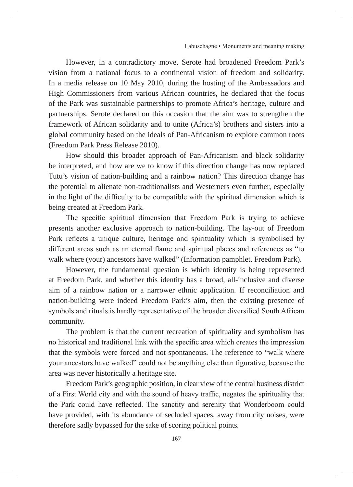However, in a contradictory move, Serote had broadened Freedom Park's vision from a national focus to a continental vision of freedom and solidarity. In a media release on 10 May 2010, during the hosting of the Ambassadors and High Commissioners from various African countries, he declared that the focus of the Park was sustainable partnerships to promote Africa's heritage, culture and partnerships. Serote declared on this occasion that the aim was to strengthen the framework of African solidarity and to unite (Africa's) brothers and sisters into a global community based on the ideals of Pan-Africanism to explore common roots (Freedom Park Press Release 2010).

How should this broader approach of Pan-Africanism and black solidarity be interpreted, and how are we to know if this direction change has now replaced Tutu's vision of nation-building and a rainbow nation? This direction change has the potential to alienate non-traditionalists and Westerners even further, especially in the light of the difficulty to be compatible with the spiritual dimension which is being created at Freedom Park.

The specific spiritual dimension that Freedom Park is trying to achieve presents another exclusive approach to nation-building. The lay-out of Freedom Park reflects a unique culture, heritage and spirituality which is symbolised by different areas such as an eternal flame and spiritual places and references as "to walk where (your) ancestors have walked" (Information pamphlet. Freedom Park).

However, the fundamental question is which identity is being represented at Freedom Park, and whether this identity has a broad, all-inclusive and diverse aim of a rainbow nation or a narrower ethnic application. If reconciliation and nation-building were indeed Freedom Park's aim, then the existing presence of symbols and rituals is hardly representative of the broader diversified South African community.

The problem is that the current recreation of spirituality and symbolism has no historical and traditional link with the specific area which creates the impression that the symbols were forced and not spontaneous. The reference to "walk where your ancestors have walked" could not be anything else than figurative, because the area was never historically a heritage site.

Freedom Park's geographic position, in clear view of the central business district of a First World city and with the sound of heavy traffic, negates the spirituality that the Park could have reflected. The sanctity and serenity that Wonderboom could have provided, with its abundance of secluded spaces, away from city noises, were therefore sadly bypassed for the sake of scoring political points.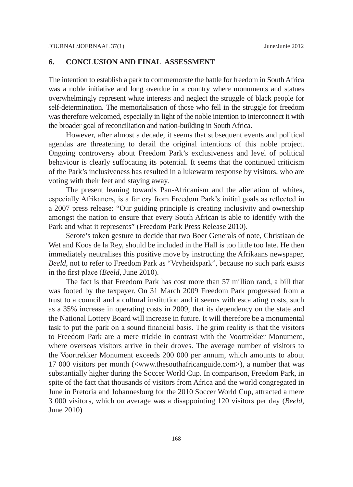#### **6. CONCLUSION AND FINAL ASSESSMENT**

The intention to establish a park to commemorate the battle for freedom in South Africa was a noble initiative and long overdue in a country where monuments and statues overwhelmingly represent white interests and neglect the struggle of black people for self-determination. The memorialisation of those who fell in the struggle for freedom was therefore welcomed, especially in light of the noble intention to interconnect it with the broader goal of reconciliation and nation-building in South Africa.

However, after almost a decade, it seems that subsequent events and political agendas are threatening to derail the original intentions of this noble project. Ongoing controversy about Freedom Park's exclusiveness and level of political behaviour is clearly suffocating its potential. It seems that the continued criticism of the Park's inclusiveness has resulted in a lukewarm response by visitors, who are voting with their feet and staying away.

The present leaning towards Pan-Africanism and the alienation of whites, especially Afrikaners, is a far cry from Freedom Park's initial goals as reflected in a 2007 press release: "Our guiding principle is creating inclusivity and ownership amongst the nation to ensure that every South African is able to identify with the Park and what it represents" (Freedom Park Press Release 2010).

Serote's token gesture to decide that two Boer Generals of note, Christiaan de Wet and Koos de la Rey, should be included in the Hall is too little too late. He then immediately neutralises this positive move by instructing the Afrikaans newspaper, *Beeld*, not to refer to Freedom Park as "Vryheidspark", because no such park exists in the first place (*Beeld*, June 2010).

The fact is that Freedom Park has cost more than 57 million rand, a bill that was footed by the taxpayer. On 31 March 2009 Freedom Park progressed from a trust to a council and a cultural institution and it seems with escalating costs, such as a 35% increase in operating costs in 2009, that its dependency on the state and the National Lottery Board will increase in future. It will therefore be a monumental task to put the park on a sound financial basis. The grim reality is that the visitors to Freedom Park are a mere trickle in contrast with the Voortrekker Monument, where overseas visitors arrive in their droves. The average number of visitors to the Voortrekker Monument exceeds 200 000 per annum, which amounts to about 17 000 visitors per month (<www.thesouthafricanguide.com>), a number that was substantially higher during the Soccer World Cup. In comparison, Freedom Park, in spite of the fact that thousands of visitors from Africa and the world congregated in June in Pretoria and Johannesburg for the 2010 Soccer World Cup, attracted a mere 3 000 visitors, which on average was a disappointing 120 visitors per day (*Beeld*, June 2010)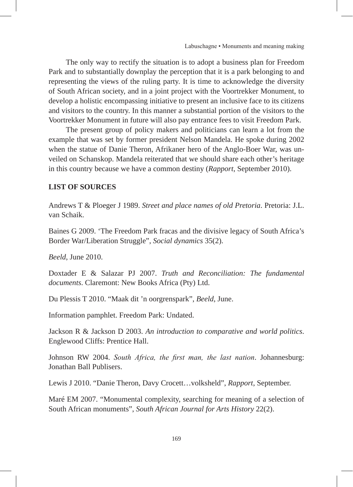The only way to rectify the situation is to adopt a business plan for Freedom Park and to substantially downplay the perception that it is a park belonging to and representing the views of the ruling party. It is time to acknowledge the diversity of South African society, and in a joint project with the Voortrekker Monument, to develop a holistic encompassing initiative to present an inclusive face to its citizens and visitors to the country. In this manner a substantial portion of the visitors to the Voortrekker Monument in future will also pay entrance fees to visit Freedom Park.

The present group of policy makers and politicians can learn a lot from the example that was set by former president Nelson Mandela. He spoke during 2002 when the statue of Danie Theron, Afrikaner hero of the Anglo-Boer War, was unveiled on Schanskop. Mandela reiterated that we should share each other's heritage in this country because we have a common destiny (*Rapport*, September 2010).

## **LIST OF SOURCES**

Andrews T & Ploeger J 1989. *Street and place names of old Pretoria*. Pretoria: J.L. van Schaik.

Baines G 2009. 'The Freedom Park fracas and the divisive legacy of South Africa's Border War/Liberation Struggle", *Social dynamics* 35(2).

*Beeld*, June 2010.

Doxtader E & Salazar PJ 2007. *Truth and Reconciliation: The fundamental documents*. Claremont: New Books Africa (Pty) Ltd.

Du Plessis T 2010. "Maak dit 'n oorgrenspark", *Beeld*, June.

Information pamphlet. Freedom Park: Undated.

Jackson R & Jackson D 2003. *An introduction to comparative and world politics*. Englewood Cliffs: Prentice Hall.

Johnson RW 2004. *South Africa, the first man, the last nation*. Johannesburg: Jonathan Ball Publisers.

Lewis J 2010. "Danie Theron, Davy Crocett…volksheld", *Rapport*, September.

Maré EM 2007. "Monumental complexity, searching for meaning of a selection of South African monuments", *South African Journal for Arts History* 22(2).